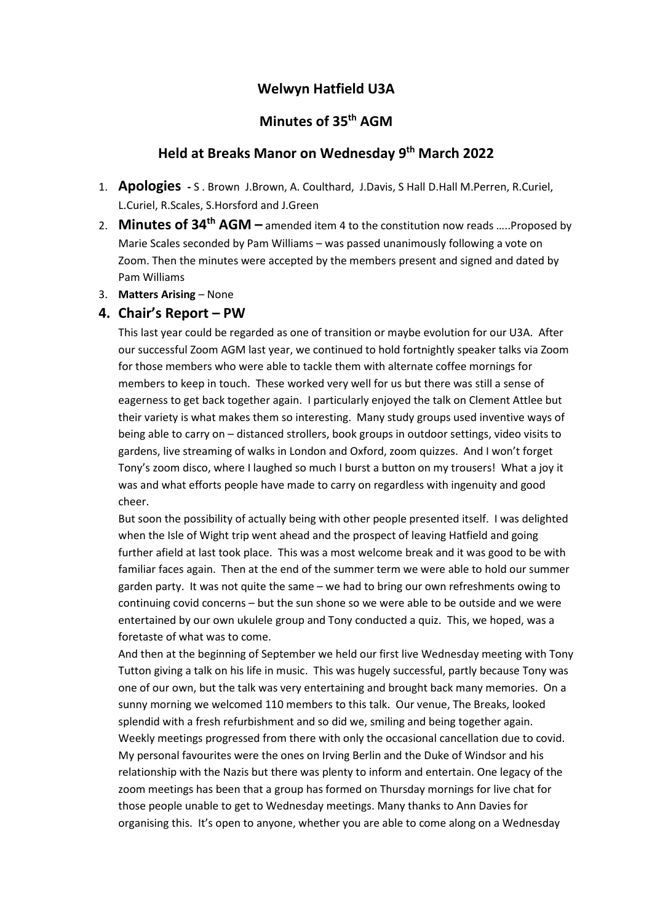# Welwyn Hatfield U3A

# Minutes of 35th AGM

# Held at Breaks Manor on Wednesday 9<sup>th</sup> March 2022

- 1. **Apologies** S. Brown J.Brown, A. Coulthard, J.Davis, S Hall D.Hall M.Perren, R.Curiel, L.Curiel, R.Scales, S.Horsford and J.Green
- 2. Minutes of  $34<sup>th</sup> AGM$  amended item 4 to the constitution now reads .....Proposed by Marie Scales seconded by Pam Williams – was passed unanimously following a vote on Zoom. Then the minutes were accepted by the members present and signed and dated by Pam Williams
- 3. Matters Arising None

#### 4. Chair's Report – PW

This last year could be regarded as one of transition or maybe evolution for our U3A. After our successful Zoom AGM last year, we continued to hold fortnightly speaker talks via Zoom for those members who were able to tackle them with alternate coffee mornings for members to keep in touch. These worked very well for us but there was still a sense of eagerness to get back together again. I particularly enjoyed the talk on Clement Attlee but their variety is what makes them so interesting. Many study groups used inventive ways of being able to carry on – distanced strollers, book groups in outdoor settings, video visits to gardens, live streaming of walks in London and Oxford, zoom quizzes. And I won't forget Tony's zoom disco, where I laughed so much I burst a button on my trousers! What a joy it was and what efforts people have made to carry on regardless with ingenuity and good cheer.

But soon the possibility of actually being with other people presented itself. I was delighted when the Isle of Wight trip went ahead and the prospect of leaving Hatfield and going further afield at last took place. This was a most welcome break and it was good to be with familiar faces again. Then at the end of the summer term we were able to hold our summer garden party. It was not quite the same – we had to bring our own refreshments owing to continuing covid concerns – but the sun shone so we were able to be outside and we were entertained by our own ukulele group and Tony conducted a quiz. This, we hoped, was a foretaste of what was to come.

And then at the beginning of September we held our first live Wednesday meeting with Tony Tutton giving a talk on his life in music. This was hugely successful, partly because Tony was one of our own, but the talk was very entertaining and brought back many memories. On a sunny morning we welcomed 110 members to this talk. Our venue, The Breaks, looked splendid with a fresh refurbishment and so did we, smiling and being together again. Weekly meetings progressed from there with only the occasional cancellation due to covid. My personal favourites were the ones on Irving Berlin and the Duke of Windsor and his relationship with the Nazis but there was plenty to inform and entertain. One legacy of the zoom meetings has been that a group has formed on Thursday mornings for live chat for those people unable to get to Wednesday meetings. Many thanks to Ann Davies for organising this. It's open to anyone, whether you are able to come along on a Wednesday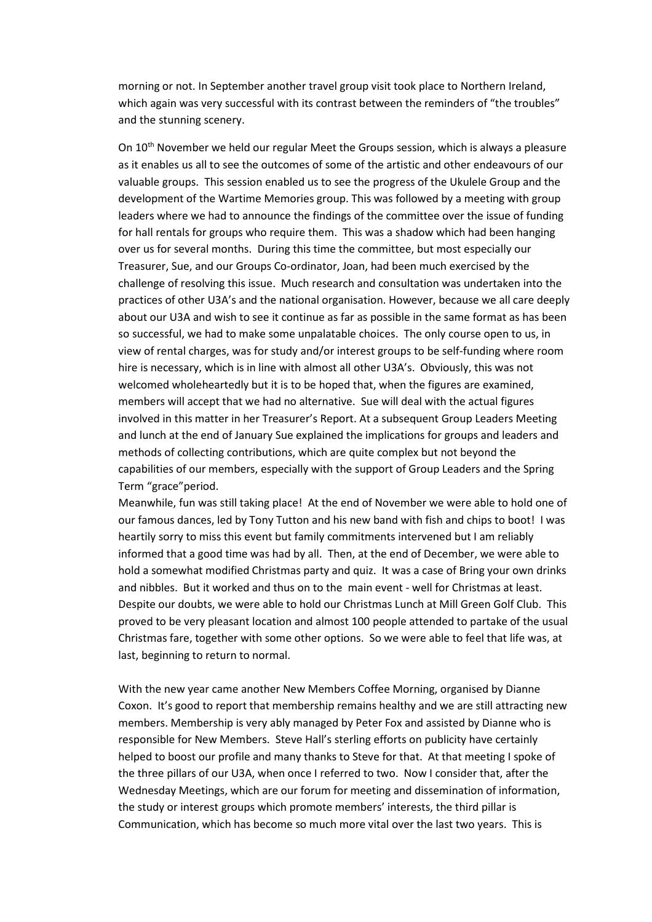morning or not. In September another travel group visit took place to Northern Ireland, which again was very successful with its contrast between the reminders of "the troubles" and the stunning scenery.

On  $10^{th}$  November we held our regular Meet the Groups session, which is always a pleasure as it enables us all to see the outcomes of some of the artistic and other endeavours of our valuable groups. This session enabled us to see the progress of the Ukulele Group and the development of the Wartime Memories group. This was followed by a meeting with group leaders where we had to announce the findings of the committee over the issue of funding for hall rentals for groups who require them. This was a shadow which had been hanging over us for several months. During this time the committee, but most especially our Treasurer, Sue, and our Groups Co-ordinator, Joan, had been much exercised by the challenge of resolving this issue. Much research and consultation was undertaken into the practices of other U3A's and the national organisation. However, because we all care deeply about our U3A and wish to see it continue as far as possible in the same format as has been so successful, we had to make some unpalatable choices. The only course open to us, in view of rental charges, was for study and/or interest groups to be self-funding where room hire is necessary, which is in line with almost all other U3A's. Obviously, this was not welcomed wholeheartedly but it is to be hoped that, when the figures are examined, members will accept that we had no alternative. Sue will deal with the actual figures involved in this matter in her Treasurer's Report. At a subsequent Group Leaders Meeting and lunch at the end of January Sue explained the implications for groups and leaders and methods of collecting contributions, which are quite complex but not beyond the capabilities of our members, especially with the support of Group Leaders and the Spring Term "grace"period.

Meanwhile, fun was still taking place! At the end of November we were able to hold one of our famous dances, led by Tony Tutton and his new band with fish and chips to boot! I was heartily sorry to miss this event but family commitments intervened but I am reliably informed that a good time was had by all. Then, at the end of December, we were able to hold a somewhat modified Christmas party and quiz. It was a case of Bring your own drinks and nibbles. But it worked and thus on to the main event - well for Christmas at least. Despite our doubts, we were able to hold our Christmas Lunch at Mill Green Golf Club. This proved to be very pleasant location and almost 100 people attended to partake of the usual Christmas fare, together with some other options. So we were able to feel that life was, at last, beginning to return to normal.

With the new year came another New Members Coffee Morning, organised by Dianne Coxon. It's good to report that membership remains healthy and we are still attracting new members. Membership is very ably managed by Peter Fox and assisted by Dianne who is responsible for New Members. Steve Hall's sterling efforts on publicity have certainly helped to boost our profile and many thanks to Steve for that. At that meeting I spoke of the three pillars of our U3A, when once I referred to two. Now I consider that, after the Wednesday Meetings, which are our forum for meeting and dissemination of information, the study or interest groups which promote members' interests, the third pillar is Communication, which has become so much more vital over the last two years. This is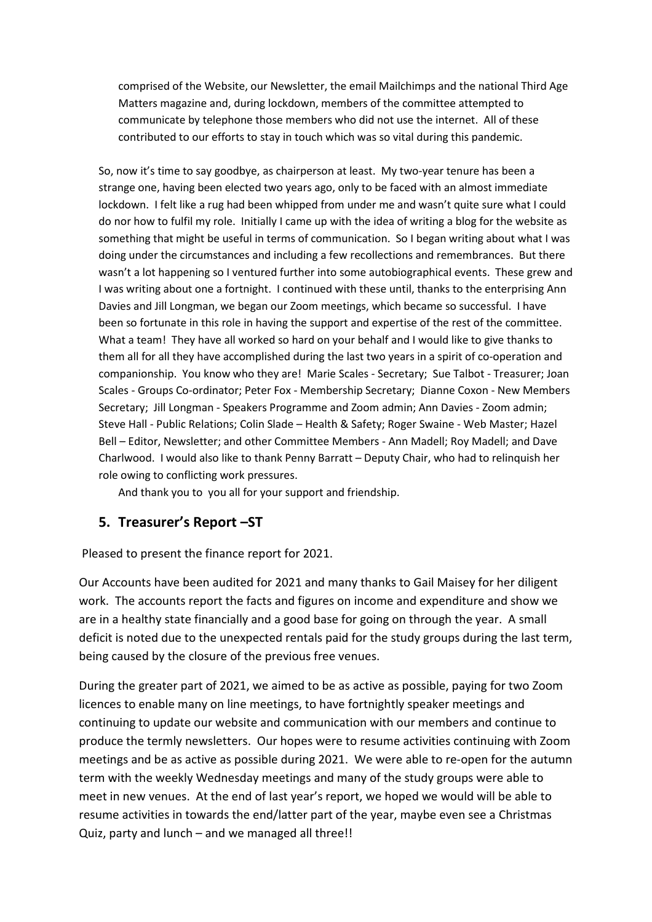comprised of the Website, our Newsletter, the email Mailchimps and the national Third Age Matters magazine and, during lockdown, members of the committee attempted to communicate by telephone those members who did not use the internet. All of these contributed to our efforts to stay in touch which was so vital during this pandemic.

So, now it's time to say goodbye, as chairperson at least. My two-year tenure has been a strange one, having been elected two years ago, only to be faced with an almost immediate lockdown. I felt like a rug had been whipped from under me and wasn't quite sure what I could do nor how to fulfil my role. Initially I came up with the idea of writing a blog for the website as something that might be useful in terms of communication. So I began writing about what I was doing under the circumstances and including a few recollections and remembrances. But there wasn't a lot happening so I ventured further into some autobiographical events. These grew and I was writing about one a fortnight. I continued with these until, thanks to the enterprising Ann Davies and Jill Longman, we began our Zoom meetings, which became so successful. I have been so fortunate in this role in having the support and expertise of the rest of the committee. What a team! They have all worked so hard on your behalf and I would like to give thanks to them all for all they have accomplished during the last two years in a spirit of co-operation and companionship. You know who they are! Marie Scales - Secretary; Sue Talbot - Treasurer; Joan Scales - Groups Co-ordinator; Peter Fox - Membership Secretary; Dianne Coxon - New Members Secretary; Jill Longman - Speakers Programme and Zoom admin; Ann Davies - Zoom admin; Steve Hall - Public Relations; Colin Slade – Health & Safety; Roger Swaine - Web Master; Hazel Bell – Editor, Newsletter; and other Committee Members - Ann Madell; Roy Madell; and Dave Charlwood. I would also like to thank Penny Barratt – Deputy Chair, who had to relinquish her role owing to conflicting work pressures.

And thank you to you all for your support and friendship.

# 5. Treasurer's Report –ST

Pleased to present the finance report for 2021.

Our Accounts have been audited for 2021 and many thanks to Gail Maisey for her diligent work. The accounts report the facts and figures on income and expenditure and show we are in a healthy state financially and a good base for going on through the year. A small deficit is noted due to the unexpected rentals paid for the study groups during the last term, being caused by the closure of the previous free venues.

During the greater part of 2021, we aimed to be as active as possible, paying for two Zoom licences to enable many on line meetings, to have fortnightly speaker meetings and continuing to update our website and communication with our members and continue to produce the termly newsletters. Our hopes were to resume activities continuing with Zoom meetings and be as active as possible during 2021. We were able to re-open for the autumn term with the weekly Wednesday meetings and many of the study groups were able to meet in new venues. At the end of last year's report, we hoped we would will be able to resume activities in towards the end/latter part of the year, maybe even see a Christmas Quiz, party and lunch – and we managed all three!!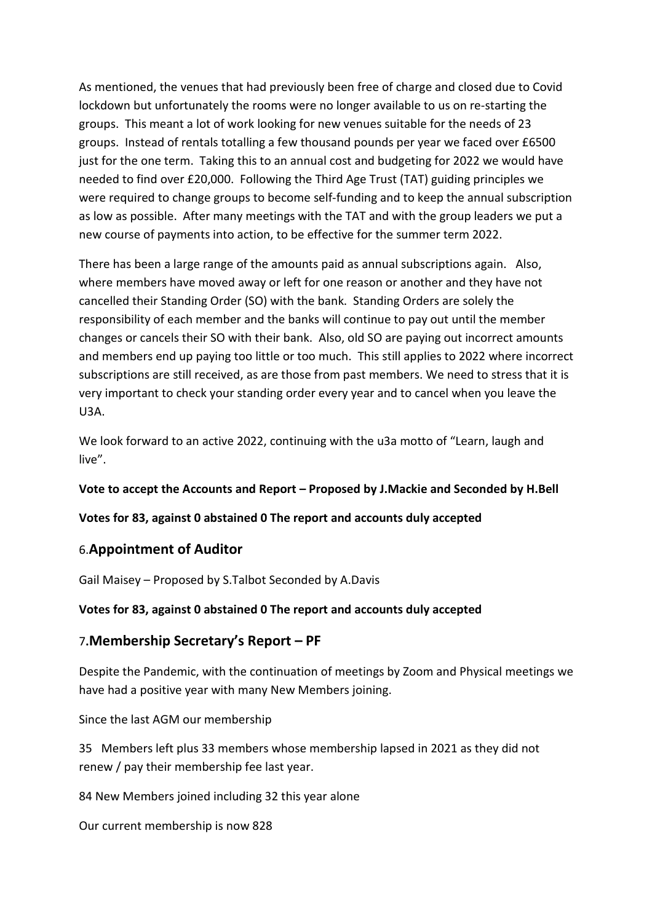As mentioned, the venues that had previously been free of charge and closed due to Covid lockdown but unfortunately the rooms were no longer available to us on re-starting the groups. This meant a lot of work looking for new venues suitable for the needs of 23 groups. Instead of rentals totalling a few thousand pounds per year we faced over £6500 just for the one term. Taking this to an annual cost and budgeting for 2022 we would have needed to find over £20,000. Following the Third Age Trust (TAT) guiding principles we were required to change groups to become self-funding and to keep the annual subscription as low as possible. After many meetings with the TAT and with the group leaders we put a new course of payments into action, to be effective for the summer term 2022.

There has been a large range of the amounts paid as annual subscriptions again. Also, where members have moved away or left for one reason or another and they have not cancelled their Standing Order (SO) with the bank. Standing Orders are solely the responsibility of each member and the banks will continue to pay out until the member changes or cancels their SO with their bank. Also, old SO are paying out incorrect amounts and members end up paying too little or too much. This still applies to 2022 where incorrect subscriptions are still received, as are those from past members. We need to stress that it is very important to check your standing order every year and to cancel when you leave the U3A.

We look forward to an active 2022, continuing with the u3a motto of "Learn, laugh and live".

# Vote to accept the Accounts and Report – Proposed by J.Mackie and Seconded by H.Bell

# Votes for 83, against 0 abstained 0 The report and accounts duly accepted

# 6.Appointment of Auditor

Gail Maisey – Proposed by S.Talbot Seconded by A.Davis

#### Votes for 83, against 0 abstained 0 The report and accounts duly accepted

# 7.Membership Secretary's Report – PF

Despite the Pandemic, with the continuation of meetings by Zoom and Physical meetings we have had a positive year with many New Members joining.

Since the last AGM our membership

35 Members left plus 33 members whose membership lapsed in 2021 as they did not renew / pay their membership fee last year.

84 New Members joined including 32 this year alone

Our current membership is now 828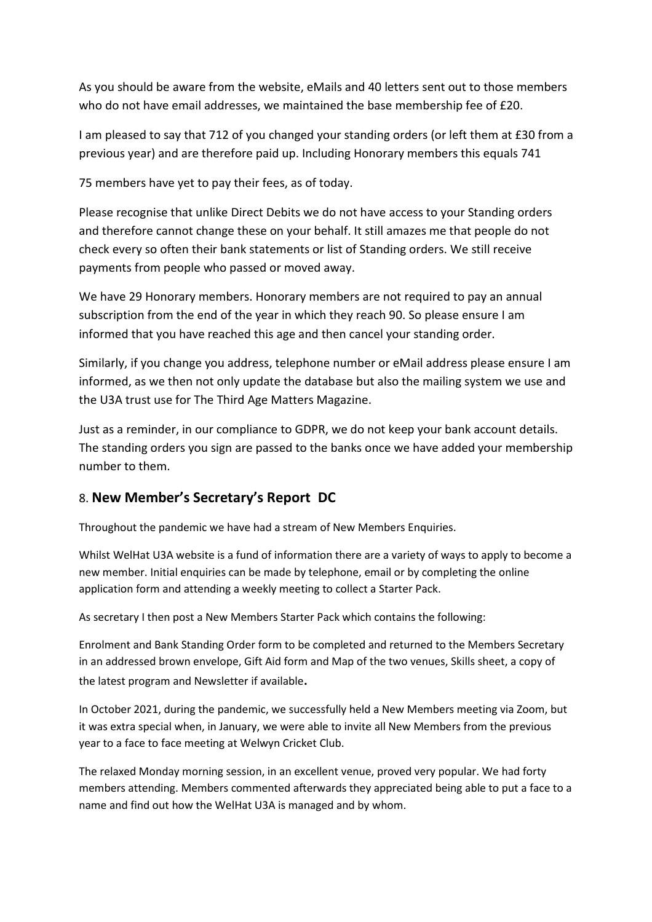As you should be aware from the website, eMails and 40 letters sent out to those members who do not have email addresses, we maintained the base membership fee of £20.

I am pleased to say that 712 of you changed your standing orders (or left them at £30 from a previous year) and are therefore paid up. Including Honorary members this equals 741

75 members have yet to pay their fees, as of today.

Please recognise that unlike Direct Debits we do not have access to your Standing orders and therefore cannot change these on your behalf. It still amazes me that people do not check every so often their bank statements or list of Standing orders. We still receive payments from people who passed or moved away.

We have 29 Honorary members. Honorary members are not required to pay an annual subscription from the end of the year in which they reach 90. So please ensure I am informed that you have reached this age and then cancel your standing order.

Similarly, if you change you address, telephone number or eMail address please ensure I am informed, as we then not only update the database but also the mailing system we use and the U3A trust use for The Third Age Matters Magazine.

Just as a reminder, in our compliance to GDPR, we do not keep your bank account details. The standing orders you sign are passed to the banks once we have added your membership number to them.

# 8. New Member's Secretary's Report DC

Throughout the pandemic we have had a stream of New Members Enquiries.

Whilst WelHat U3A website is a fund of information there are a variety of ways to apply to become a new member. Initial enquiries can be made by telephone, email or by completing the online application form and attending a weekly meeting to collect a Starter Pack.

As secretary I then post a New Members Starter Pack which contains the following:

Enrolment and Bank Standing Order form to be completed and returned to the Members Secretary in an addressed brown envelope, Gift Aid form and Map of the two venues, Skills sheet, a copy of the latest program and Newsletter if available.

In October 2021, during the pandemic, we successfully held a New Members meeting via Zoom, but it was extra special when, in January, we were able to invite all New Members from the previous year to a face to face meeting at Welwyn Cricket Club.

The relaxed Monday morning session, in an excellent venue, proved very popular. We had forty members attending. Members commented afterwards they appreciated being able to put a face to a name and find out how the WelHat U3A is managed and by whom.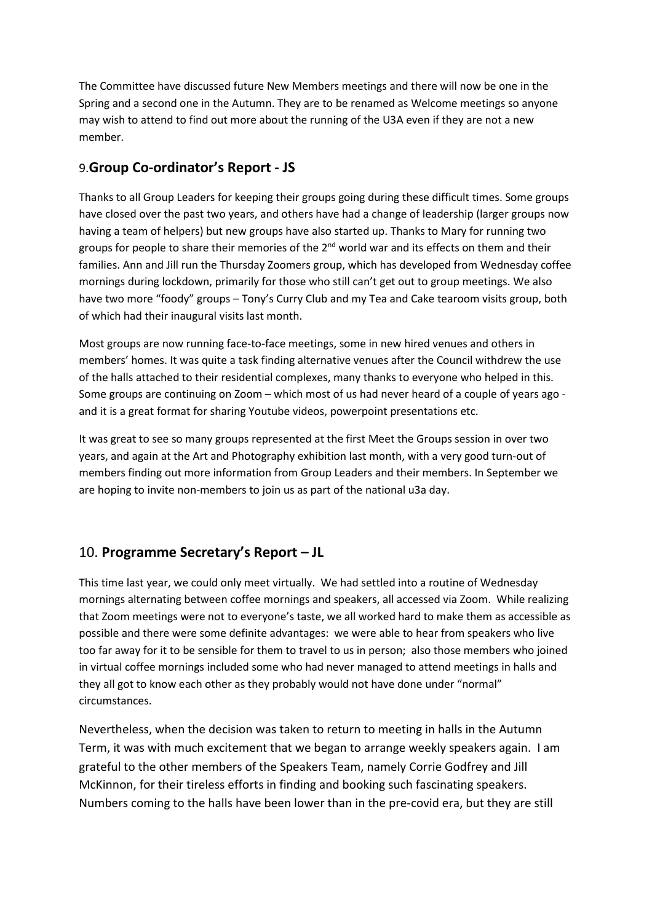The Committee have discussed future New Members meetings and there will now be one in the Spring and a second one in the Autumn. They are to be renamed as Welcome meetings so anyone may wish to attend to find out more about the running of the U3A even if they are not a new member.

# 9.Group Co-ordinator's Report - JS

Thanks to all Group Leaders for keeping their groups going during these difficult times. Some groups have closed over the past two years, and others have had a change of leadership (larger groups now having a team of helpers) but new groups have also started up. Thanks to Mary for running two groups for people to share their memories of the  $2^{nd}$  world war and its effects on them and their families. Ann and Jill run the Thursday Zoomers group, which has developed from Wednesday coffee mornings during lockdown, primarily for those who still can't get out to group meetings. We also have two more "foody" groups – Tony's Curry Club and my Tea and Cake tearoom visits group, both of which had their inaugural visits last month.

Most groups are now running face-to-face meetings, some in new hired venues and others in members' homes. It was quite a task finding alternative venues after the Council withdrew the use of the halls attached to their residential complexes, many thanks to everyone who helped in this. Some groups are continuing on Zoom – which most of us had never heard of a couple of years ago and it is a great format for sharing Youtube videos, powerpoint presentations etc.

It was great to see so many groups represented at the first Meet the Groups session in over two years, and again at the Art and Photography exhibition last month, with a very good turn-out of members finding out more information from Group Leaders and their members. In September we are hoping to invite non-members to join us as part of the national u3a day.

# 10. Programme Secretary's Report – JL

This time last year, we could only meet virtually. We had settled into a routine of Wednesday mornings alternating between coffee mornings and speakers, all accessed via Zoom. While realizing that Zoom meetings were not to everyone's taste, we all worked hard to make them as accessible as possible and there were some definite advantages: we were able to hear from speakers who live too far away for it to be sensible for them to travel to us in person; also those members who joined in virtual coffee mornings included some who had never managed to attend meetings in halls and they all got to know each other as they probably would not have done under "normal" circumstances.

Nevertheless, when the decision was taken to return to meeting in halls in the Autumn Term, it was with much excitement that we began to arrange weekly speakers again. I am grateful to the other members of the Speakers Team, namely Corrie Godfrey and Jill McKinnon, for their tireless efforts in finding and booking such fascinating speakers. Numbers coming to the halls have been lower than in the pre-covid era, but they are still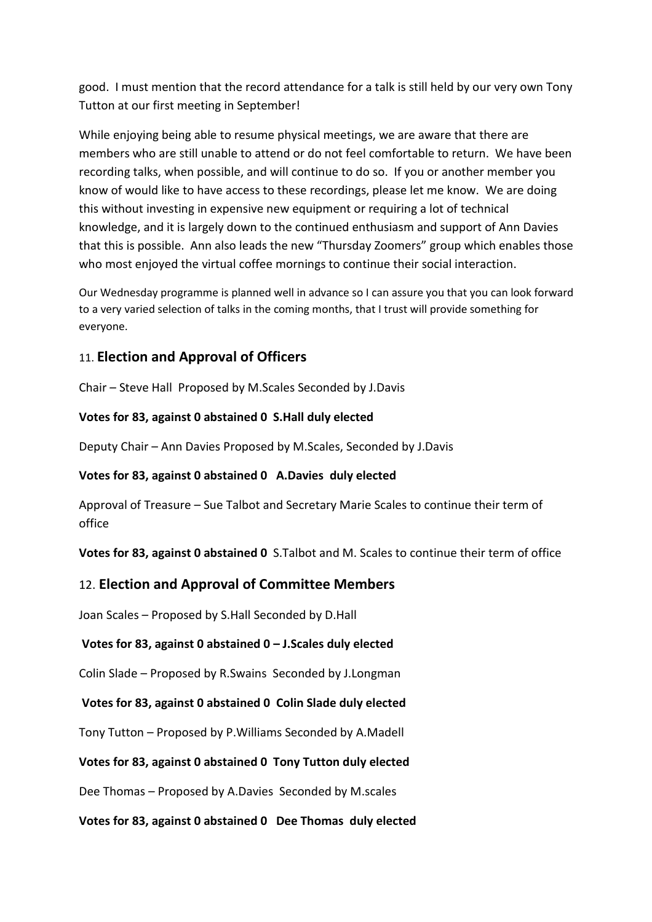good. I must mention that the record attendance for a talk is still held by our very own Tony Tutton at our first meeting in September!

While enjoying being able to resume physical meetings, we are aware that there are members who are still unable to attend or do not feel comfortable to return. We have been recording talks, when possible, and will continue to do so. If you or another member you know of would like to have access to these recordings, please let me know. We are doing this without investing in expensive new equipment or requiring a lot of technical knowledge, and it is largely down to the continued enthusiasm and support of Ann Davies that this is possible. Ann also leads the new "Thursday Zoomers" group which enables those who most enjoyed the virtual coffee mornings to continue their social interaction.

Our Wednesday programme is planned well in advance so I can assure you that you can look forward to a very varied selection of talks in the coming months, that I trust will provide something for everyone.

# 11. Election and Approval of Officers

Chair – Steve Hall Proposed by M.Scales Seconded by J.Davis

#### Votes for 83, against 0 abstained 0 S.Hall duly elected

Deputy Chair – Ann Davies Proposed by M.Scales, Seconded by J.Davis

#### Votes for 83, against 0 abstained 0 A.Davies duly elected

Approval of Treasure – Sue Talbot and Secretary Marie Scales to continue their term of office

Votes for 83, against 0 abstained 0 S.Talbot and M. Scales to continue their term of office

# 12. Election and Approval of Committee Members

Joan Scales – Proposed by S.Hall Seconded by D.Hall

# Votes for 83, against 0 abstained 0 – J.Scales duly elected

Colin Slade – Proposed by R.Swains Seconded by J.Longman

# Votes for 83, against 0 abstained 0 Colin Slade duly elected

Tony Tutton – Proposed by P.Williams Seconded by A.Madell

# Votes for 83, against 0 abstained 0 Tony Tutton duly elected

Dee Thomas – Proposed by A.Davies Seconded by M.scales

#### Votes for 83, against 0 abstained 0 Dee Thomas duly elected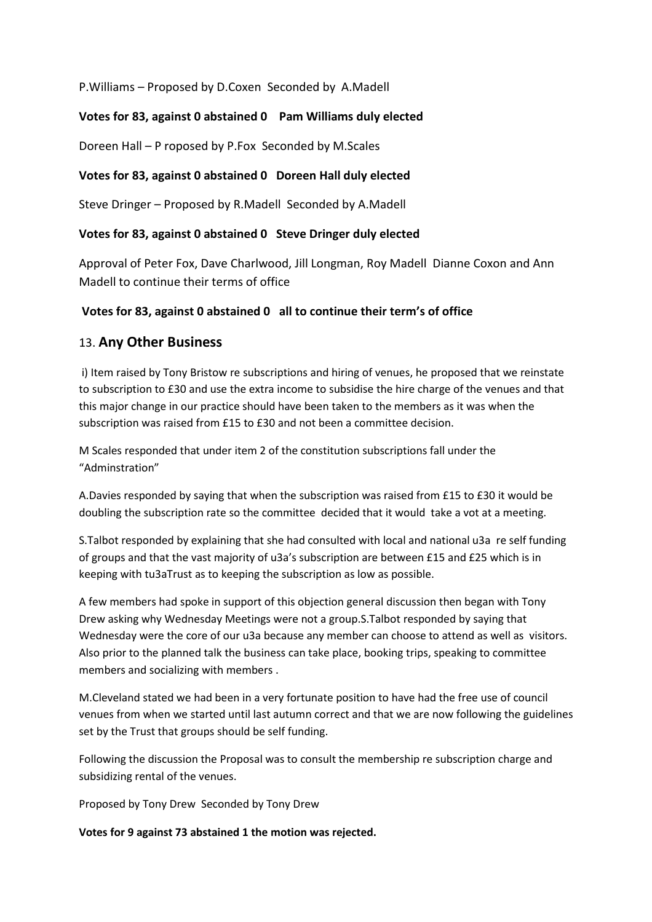P.Williams – Proposed by D.Coxen Seconded by A.Madell

#### Votes for 83, against 0 abstained 0 Pam Williams duly elected

Doreen Hall – P roposed by P.Fox Seconded by M.Scales

#### Votes for 83, against 0 abstained 0 Doreen Hall duly elected

Steve Dringer – Proposed by R.Madell Seconded by A.Madell

#### Votes for 83, against 0 abstained 0 Steve Dringer duly elected

Approval of Peter Fox, Dave Charlwood, Jill Longman, Roy Madell Dianne Coxon and Ann Madell to continue their terms of office

#### Votes for 83, against 0 abstained 0 all to continue their term's of office

# 13. Any Other Business

 i) Item raised by Tony Bristow re subscriptions and hiring of venues, he proposed that we reinstate to subscription to £30 and use the extra income to subsidise the hire charge of the venues and that this major change in our practice should have been taken to the members as it was when the subscription was raised from £15 to £30 and not been a committee decision.

M Scales responded that under item 2 of the constitution subscriptions fall under the "Adminstration"

A.Davies responded by saying that when the subscription was raised from £15 to £30 it would be doubling the subscription rate so the committee decided that it would take a vot at a meeting.

S.Talbot responded by explaining that she had consulted with local and national u3a re self funding of groups and that the vast majority of u3a's subscription are between £15 and £25 which is in keeping with tu3aTrust as to keeping the subscription as low as possible.

A few members had spoke in support of this objection general discussion then began with Tony Drew asking why Wednesday Meetings were not a group.S.Talbot responded by saying that Wednesday were the core of our u3a because any member can choose to attend as well as visitors. Also prior to the planned talk the business can take place, booking trips, speaking to committee members and socializing with members .

M.Cleveland stated we had been in a very fortunate position to have had the free use of council venues from when we started until last autumn correct and that we are now following the guidelines set by the Trust that groups should be self funding.

Following the discussion the Proposal was to consult the membership re subscription charge and subsidizing rental of the venues.

Proposed by Tony Drew Seconded by Tony Drew

#### Votes for 9 against 73 abstained 1 the motion was rejected.